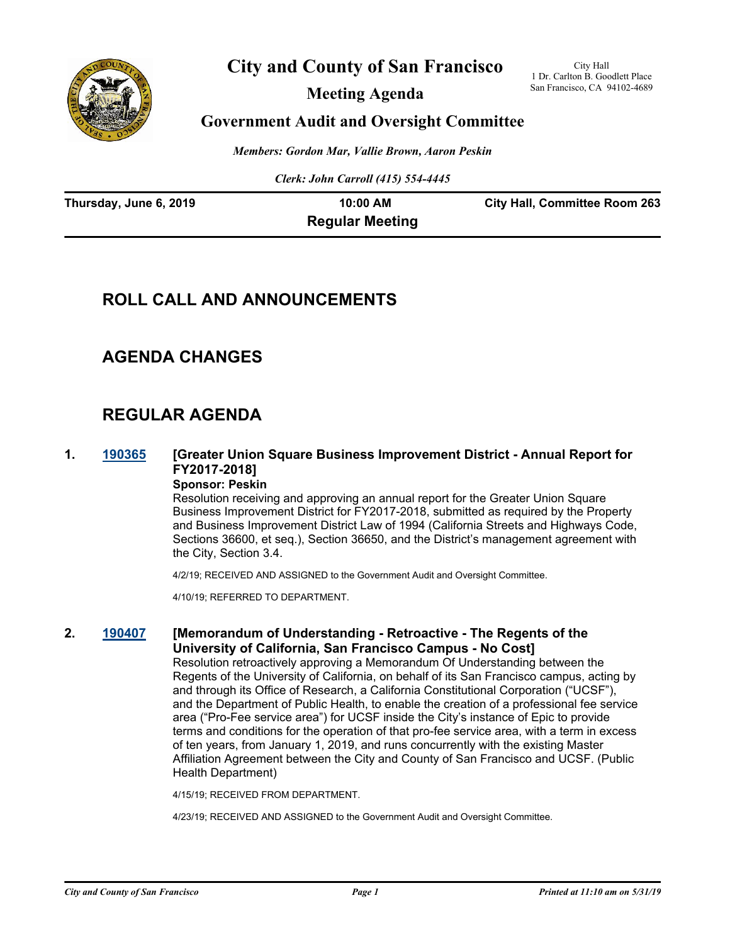

# **City and County of San Francisco**

**Meeting Agenda**

City Hall 1 Dr. Carlton B. Goodlett Place San Francisco, CA 94102-4689

# **Government Audit and Oversight Committee**

*Members: Gordon Mar, Vallie Brown, Aaron Peskin*

*Clerk: John Carroll (415) 554-4445*

| Thursday, June 6, 2019 | 10:00 AM               | <b>City Hall, Committee Room 263</b> |
|------------------------|------------------------|--------------------------------------|
|                        | <b>Regular Meeting</b> |                                      |

# **ROLL CALL AND ANNOUNCEMENTS**

# **AGENDA CHANGES**

# **REGULAR AGENDA**

# **1. [190365](http://sfgov.legistar.com/gateway.aspx?m=l&id=34486) [Greater Union Square Business Improvement District - Annual Report for FY2017-2018]**

#### **Sponsor: Peskin**

Resolution receiving and approving an annual report for the Greater Union Square Business Improvement District for FY2017-2018, submitted as required by the Property and Business Improvement District Law of 1994 (California Streets and Highways Code, Sections 36600, et seq.), Section 36650, and the District's management agreement with the City, Section 3.4.

4/2/19; RECEIVED AND ASSIGNED to the Government Audit and Oversight Committee.

4/10/19; REFERRED TO DEPARTMENT.

### **2. [190407](http://sfgov.legistar.com/gateway.aspx?m=l&id=34528) [Memorandum of Understanding - Retroactive - The Regents of the University of California, San Francisco Campus - No Cost]**

Resolution retroactively approving a Memorandum Of Understanding between the Regents of the University of California, on behalf of its San Francisco campus, acting by and through its Office of Research, a California Constitutional Corporation ("UCSF"), and the Department of Public Health, to enable the creation of a professional fee service area ("Pro-Fee service area") for UCSF inside the City's instance of Epic to provide terms and conditions for the operation of that pro-fee service area, with a term in excess of ten years, from January 1, 2019, and runs concurrently with the existing Master Affiliation Agreement between the City and County of San Francisco and UCSF. (Public Health Department)

4/15/19; RECEIVED FROM DEPARTMENT.

4/23/19; RECEIVED AND ASSIGNED to the Government Audit and Oversight Committee.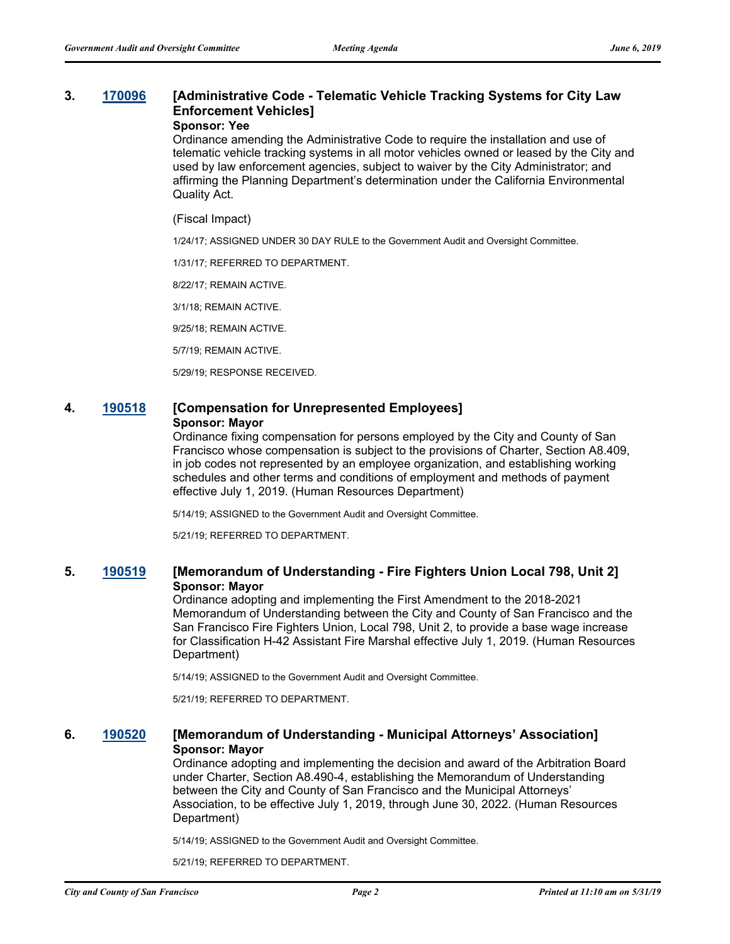### **3. [170096](http://sfgov.legistar.com/gateway.aspx?m=l&id=31671) [Administrative Code - Telematic Vehicle Tracking Systems for City Law Enforcement Vehicles]**

#### **Sponsor: Yee**

Ordinance amending the Administrative Code to require the installation and use of telematic vehicle tracking systems in all motor vehicles owned or leased by the City and used by law enforcement agencies, subject to waiver by the City Administrator; and affirming the Planning Department's determination under the California Environmental Quality Act.

#### (Fiscal Impact)

1/24/17; ASSIGNED UNDER 30 DAY RULE to the Government Audit and Oversight Committee.

1/31/17; REFERRED TO DEPARTMENT.

8/22/17; REMAIN ACTIVE.

3/1/18; REMAIN ACTIVE.

9/25/18; REMAIN ACTIVE.

5/7/19; REMAIN ACTIVE.

5/29/19; RESPONSE RECEIVED.

#### **4. [190518](http://sfgov.legistar.com/gateway.aspx?m=l&id=34640) [Compensation for Unrepresented Employees] Sponsor: Mayor**

Ordinance fixing compensation for persons employed by the City and County of San Francisco whose compensation is subject to the provisions of Charter, Section A8.409, in job codes not represented by an employee organization, and establishing working schedules and other terms and conditions of employment and methods of payment effective July 1, 2019. (Human Resources Department)

5/14/19; ASSIGNED to the Government Audit and Oversight Committee.

5/21/19; REFERRED TO DEPARTMENT.

#### **5. [190519](http://sfgov.legistar.com/gateway.aspx?m=l&id=34641) [Memorandum of Understanding - Fire Fighters Union Local 798, Unit 2] Sponsor: Mayor**

Ordinance adopting and implementing the First Amendment to the 2018-2021 Memorandum of Understanding between the City and County of San Francisco and the San Francisco Fire Fighters Union, Local 798, Unit 2, to provide a base wage increase for Classification H-42 Assistant Fire Marshal effective July 1, 2019. (Human Resources Department)

5/14/19; ASSIGNED to the Government Audit and Oversight Committee.

5/21/19; REFERRED TO DEPARTMENT.

#### **6. [190520](http://sfgov.legistar.com/gateway.aspx?m=l&id=34642) [Memorandum of Understanding - Municipal Attorneys' Association] Sponsor: Mayor**

Ordinance adopting and implementing the decision and award of the Arbitration Board under Charter, Section A8.490-4, establishing the Memorandum of Understanding between the City and County of San Francisco and the Municipal Attorneys' Association, to be effective July 1, 2019, through June 30, 2022. (Human Resources Department)

5/14/19; ASSIGNED to the Government Audit and Oversight Committee.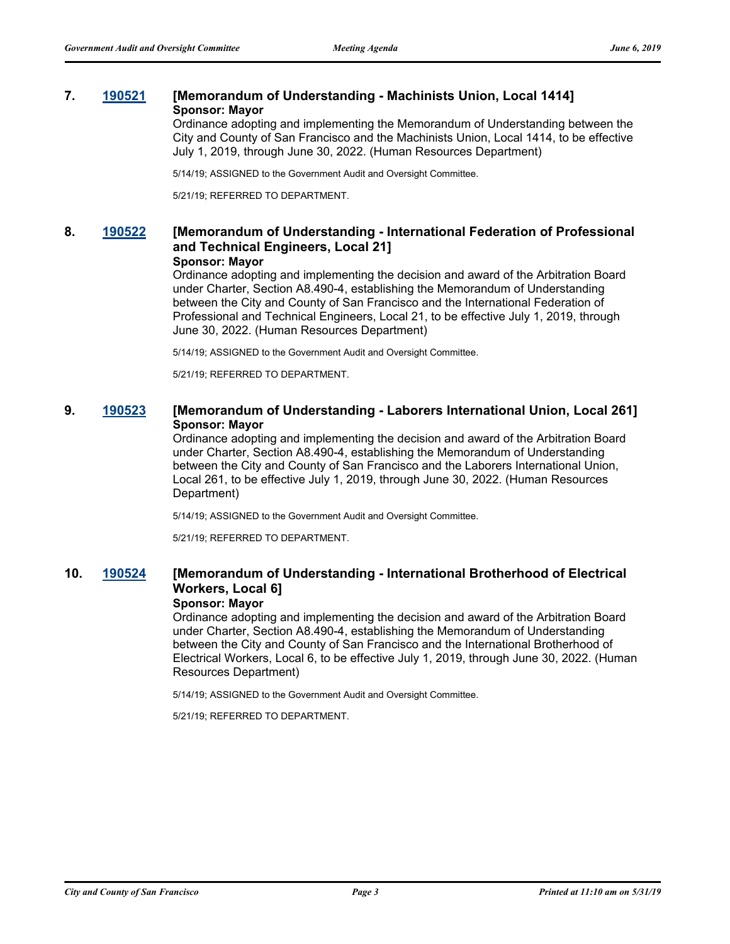#### **7. [190521](http://sfgov.legistar.com/gateway.aspx?m=l&id=34643) [Memorandum of Understanding - Machinists Union, Local 1414] Sponsor: Mayor**

Ordinance adopting and implementing the Memorandum of Understanding between the City and County of San Francisco and the Machinists Union, Local 1414, to be effective July 1, 2019, through June 30, 2022. (Human Resources Department)

5/14/19; ASSIGNED to the Government Audit and Oversight Committee.

5/21/19; REFERRED TO DEPARTMENT.

#### **8. [190522](http://sfgov.legistar.com/gateway.aspx?m=l&id=34644) [Memorandum of Understanding - International Federation of Professional and Technical Engineers, Local 21] Sponsor: Mayor**

Ordinance adopting and implementing the decision and award of the Arbitration Board under Charter, Section A8.490-4, establishing the Memorandum of Understanding between the City and County of San Francisco and the International Federation of Professional and Technical Engineers, Local 21, to be effective July 1, 2019, through June 30, 2022. (Human Resources Department)

5/14/19; ASSIGNED to the Government Audit and Oversight Committee.

5/21/19; REFERRED TO DEPARTMENT.

#### **9. [190523](http://sfgov.legistar.com/gateway.aspx?m=l&id=34645) [Memorandum of Understanding - Laborers International Union, Local 261] Sponsor: Mayor**

Ordinance adopting and implementing the decision and award of the Arbitration Board under Charter, Section A8.490-4, establishing the Memorandum of Understanding between the City and County of San Francisco and the Laborers International Union, Local 261, to be effective July 1, 2019, through June 30, 2022. (Human Resources Department)

5/14/19; ASSIGNED to the Government Audit and Oversight Committee.

5/21/19; REFERRED TO DEPARTMENT.

### **10. [190524](http://sfgov.legistar.com/gateway.aspx?m=l&id=34646) [Memorandum of Understanding - International Brotherhood of Electrical Workers, Local 6]**

#### **Sponsor: Mayor**

Ordinance adopting and implementing the decision and award of the Arbitration Board under Charter, Section A8.490-4, establishing the Memorandum of Understanding between the City and County of San Francisco and the International Brotherhood of Electrical Workers, Local 6, to be effective July 1, 2019, through June 30, 2022. (Human Resources Department)

5/14/19; ASSIGNED to the Government Audit and Oversight Committee.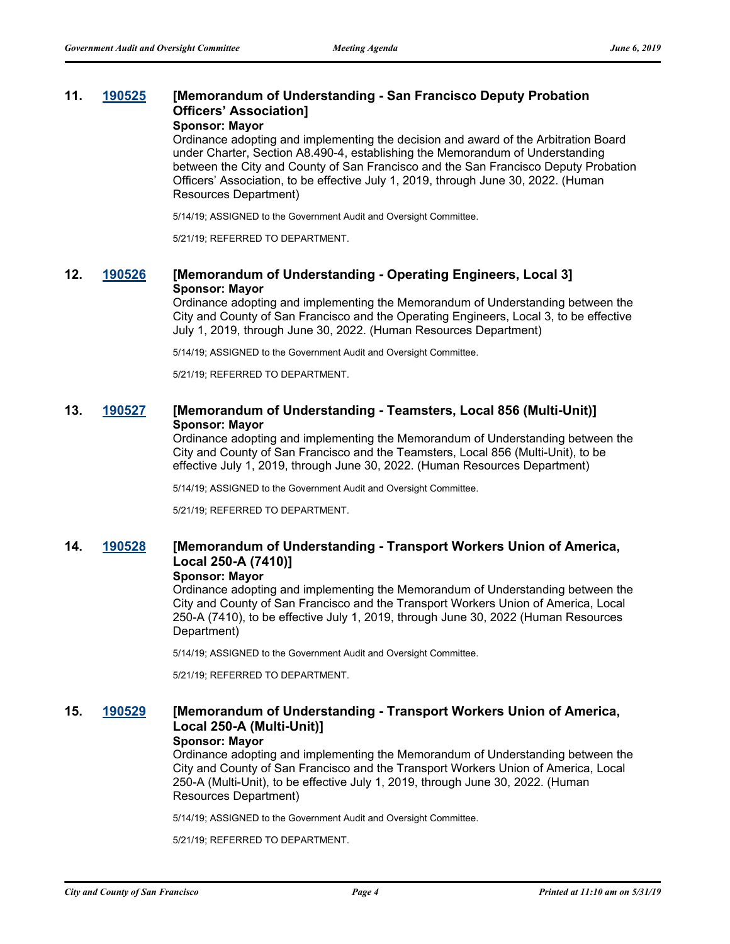#### **11. [190525](http://sfgov.legistar.com/gateway.aspx?m=l&id=34647) [Memorandum of Understanding - San Francisco Deputy Probation Officers' Association] Sponsor: Mayor**

Ordinance adopting and implementing the decision and award of the Arbitration Board under Charter, Section A8.490-4, establishing the Memorandum of Understanding between the City and County of San Francisco and the San Francisco Deputy Probation Officers' Association, to be effective July 1, 2019, through June 30, 2022. (Human Resources Department)

5/14/19; ASSIGNED to the Government Audit and Oversight Committee.

5/21/19; REFERRED TO DEPARTMENT.

#### **12. [190526](http://sfgov.legistar.com/gateway.aspx?m=l&id=34648) [Memorandum of Understanding - Operating Engineers, Local 3] Sponsor: Mayor**

Ordinance adopting and implementing the Memorandum of Understanding between the City and County of San Francisco and the Operating Engineers, Local 3, to be effective July 1, 2019, through June 30, 2022. (Human Resources Department)

5/14/19; ASSIGNED to the Government Audit and Oversight Committee.

5/21/19; REFERRED TO DEPARTMENT.

#### **13. [190527](http://sfgov.legistar.com/gateway.aspx?m=l&id=34649) [Memorandum of Understanding - Teamsters, Local 856 (Multi-Unit)] Sponsor: Mayor**

Ordinance adopting and implementing the Memorandum of Understanding between the City and County of San Francisco and the Teamsters, Local 856 (Multi-Unit), to be effective July 1, 2019, through June 30, 2022. (Human Resources Department)

5/14/19; ASSIGNED to the Government Audit and Oversight Committee.

5/21/19; REFERRED TO DEPARTMENT.

## **14. [190528](http://sfgov.legistar.com/gateway.aspx?m=l&id=34650) [Memorandum of Understanding - Transport Workers Union of America, Local 250-A (7410)]**

#### **Sponsor: Mayor**

Ordinance adopting and implementing the Memorandum of Understanding between the City and County of San Francisco and the Transport Workers Union of America, Local 250-A (7410), to be effective July 1, 2019, through June 30, 2022 (Human Resources Department)

5/14/19; ASSIGNED to the Government Audit and Oversight Committee.

5/21/19; REFERRED TO DEPARTMENT.

### **15. [190529](http://sfgov.legistar.com/gateway.aspx?m=l&id=34651) [Memorandum of Understanding - Transport Workers Union of America, Local 250-A (Multi-Unit)]**

#### **Sponsor: Mayor**

Ordinance adopting and implementing the Memorandum of Understanding between the City and County of San Francisco and the Transport Workers Union of America, Local 250-A (Multi-Unit), to be effective July 1, 2019, through June 30, 2022. (Human Resources Department)

5/14/19; ASSIGNED to the Government Audit and Oversight Committee.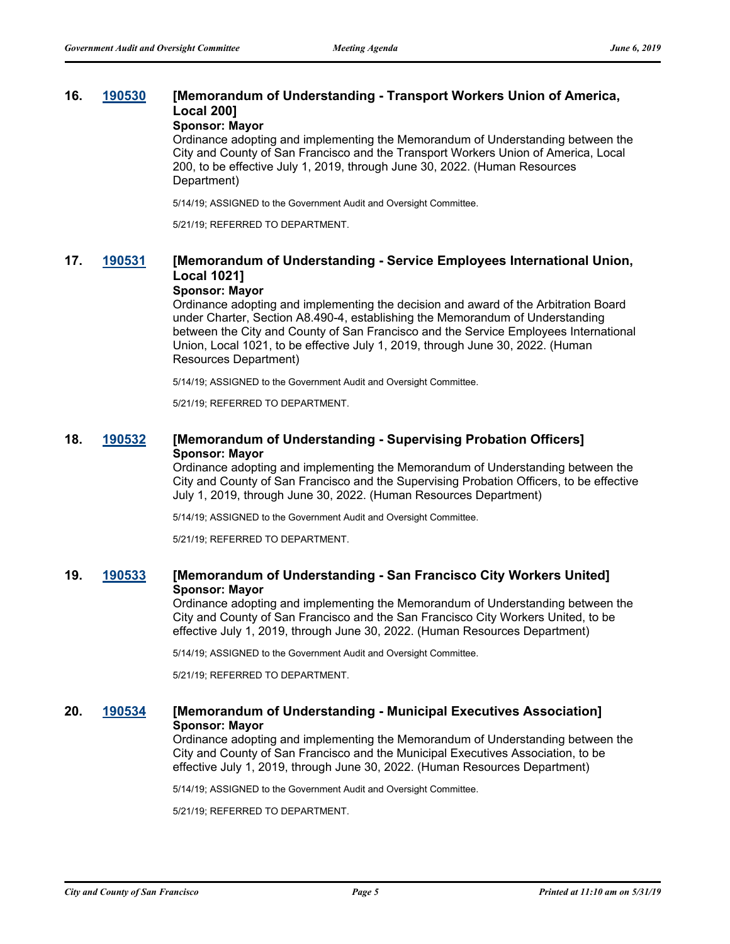### **16. [190530](http://sfgov.legistar.com/gateway.aspx?m=l&id=34652) [Memorandum of Understanding - Transport Workers Union of America, Local 200]**

#### **Sponsor: Mayor**

Ordinance adopting and implementing the Memorandum of Understanding between the City and County of San Francisco and the Transport Workers Union of America, Local 200, to be effective July 1, 2019, through June 30, 2022. (Human Resources Department)

5/14/19; ASSIGNED to the Government Audit and Oversight Committee.

5/21/19; REFERRED TO DEPARTMENT.

### **17. [190531](http://sfgov.legistar.com/gateway.aspx?m=l&id=34653) [Memorandum of Understanding - Service Employees International Union, Local 1021]**

#### **Sponsor: Mayor**

Ordinance adopting and implementing the decision and award of the Arbitration Board under Charter, Section A8.490-4, establishing the Memorandum of Understanding between the City and County of San Francisco and the Service Employees International Union, Local 1021, to be effective July 1, 2019, through June 30, 2022. (Human Resources Department)

5/14/19; ASSIGNED to the Government Audit and Oversight Committee.

5/21/19; REFERRED TO DEPARTMENT.

#### **18. [190532](http://sfgov.legistar.com/gateway.aspx?m=l&id=34654) [Memorandum of Understanding - Supervising Probation Officers] Sponsor: Mayor**

Ordinance adopting and implementing the Memorandum of Understanding between the City and County of San Francisco and the Supervising Probation Officers, to be effective July 1, 2019, through June 30, 2022. (Human Resources Department)

5/14/19; ASSIGNED to the Government Audit and Oversight Committee.

5/21/19; REFERRED TO DEPARTMENT.

#### **19. [190533](http://sfgov.legistar.com/gateway.aspx?m=l&id=34655) [Memorandum of Understanding - San Francisco City Workers United] Sponsor: Mayor**

Ordinance adopting and implementing the Memorandum of Understanding between the City and County of San Francisco and the San Francisco City Workers United, to be effective July 1, 2019, through June 30, 2022. (Human Resources Department)

5/14/19; ASSIGNED to the Government Audit and Oversight Committee.

5/21/19; REFERRED TO DEPARTMENT.

#### **20. [190534](http://sfgov.legistar.com/gateway.aspx?m=l&id=34656) [Memorandum of Understanding - Municipal Executives Association] Sponsor: Mayor**

Ordinance adopting and implementing the Memorandum of Understanding between the City and County of San Francisco and the Municipal Executives Association, to be effective July 1, 2019, through June 30, 2022. (Human Resources Department)

5/14/19; ASSIGNED to the Government Audit and Oversight Committee.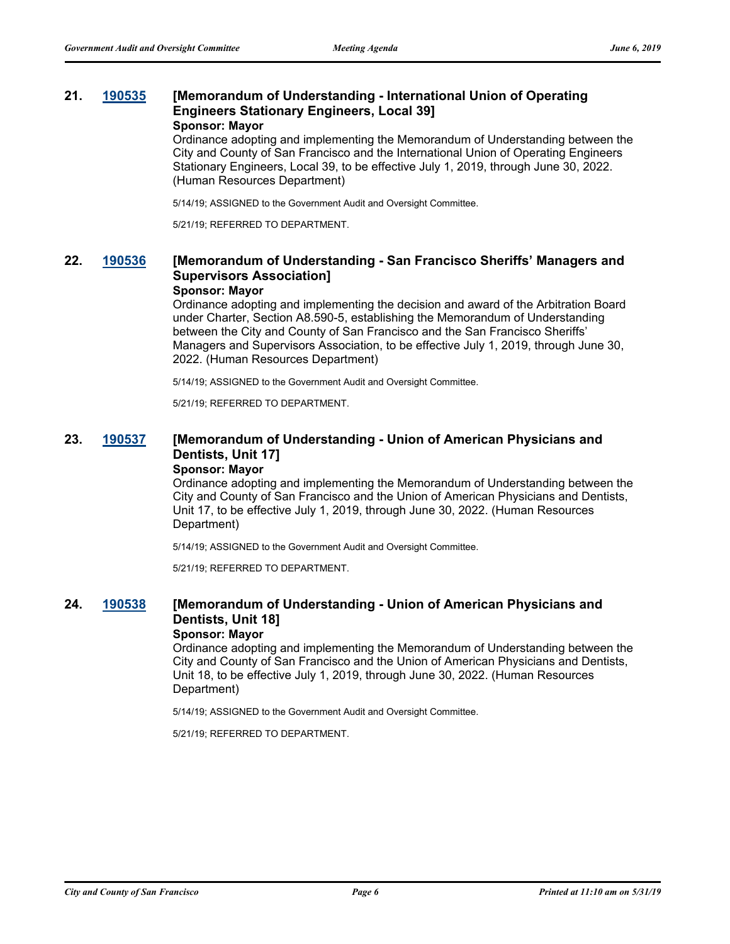#### **21. [190535](http://sfgov.legistar.com/gateway.aspx?m=l&id=34657) [Memorandum of Understanding - International Union of Operating Engineers Stationary Engineers, Local 39] Sponsor: Mayor**

Ordinance adopting and implementing the Memorandum of Understanding between the City and County of San Francisco and the International Union of Operating Engineers Stationary Engineers, Local 39, to be effective July 1, 2019, through June 30, 2022. (Human Resources Department)

5/14/19; ASSIGNED to the Government Audit and Oversight Committee.

5/21/19; REFERRED TO DEPARTMENT.

### **22. [190536](http://sfgov.legistar.com/gateway.aspx?m=l&id=34658) [Memorandum of Understanding - San Francisco Sheriffs' Managers and Supervisors Association]**

#### **Sponsor: Mayor**

Ordinance adopting and implementing the decision and award of the Arbitration Board under Charter, Section A8.590-5, establishing the Memorandum of Understanding between the City and County of San Francisco and the San Francisco Sheriffs' Managers and Supervisors Association, to be effective July 1, 2019, through June 30, 2022. (Human Resources Department)

5/14/19; ASSIGNED to the Government Audit and Oversight Committee.

5/21/19; REFERRED TO DEPARTMENT.

### **23. [190537](http://sfgov.legistar.com/gateway.aspx?m=l&id=34659) [Memorandum of Understanding - Union of American Physicians and Dentists, Unit 17]**

**Sponsor: Mayor**

Ordinance adopting and implementing the Memorandum of Understanding between the City and County of San Francisco and the Union of American Physicians and Dentists, Unit 17, to be effective July 1, 2019, through June 30, 2022. (Human Resources Department)

5/14/19; ASSIGNED to the Government Audit and Oversight Committee.

5/21/19; REFERRED TO DEPARTMENT.

### **24. [190538](http://sfgov.legistar.com/gateway.aspx?m=l&id=34660) [Memorandum of Understanding - Union of American Physicians and Dentists, Unit 18]**

#### **Sponsor: Mayor**

Ordinance adopting and implementing the Memorandum of Understanding between the City and County of San Francisco and the Union of American Physicians and Dentists, Unit 18, to be effective July 1, 2019, through June 30, 2022. (Human Resources Department)

5/14/19; ASSIGNED to the Government Audit and Oversight Committee.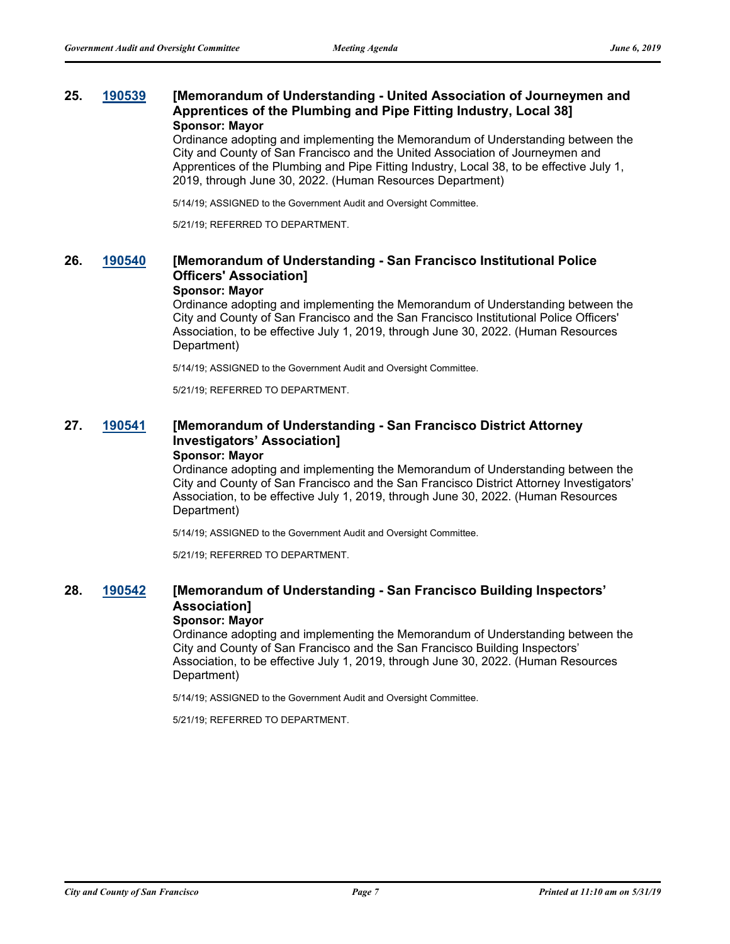#### **25. [190539](http://sfgov.legistar.com/gateway.aspx?m=l&id=34661) [Memorandum of Understanding - United Association of Journeymen and Apprentices of the Plumbing and Pipe Fitting Industry, Local 38] Sponsor: Mayor**

Ordinance adopting and implementing the Memorandum of Understanding between the City and County of San Francisco and the United Association of Journeymen and Apprentices of the Plumbing and Pipe Fitting Industry, Local 38, to be effective July 1, 2019, through June 30, 2022. (Human Resources Department)

5/14/19; ASSIGNED to the Government Audit and Oversight Committee.

5/21/19; REFERRED TO DEPARTMENT.

### **26. [190540](http://sfgov.legistar.com/gateway.aspx?m=l&id=34662) [Memorandum of Understanding - San Francisco Institutional Police Officers' Association]**

#### **Sponsor: Mayor**

Ordinance adopting and implementing the Memorandum of Understanding between the City and County of San Francisco and the San Francisco Institutional Police Officers' Association, to be effective July 1, 2019, through June 30, 2022. (Human Resources Department)

5/14/19; ASSIGNED to the Government Audit and Oversight Committee.

5/21/19; REFERRED TO DEPARTMENT.

### **27. [190541](http://sfgov.legistar.com/gateway.aspx?m=l&id=34663) [Memorandum of Understanding - San Francisco District Attorney Investigators' Association]**

#### **Sponsor: Mayor**

Ordinance adopting and implementing the Memorandum of Understanding between the City and County of San Francisco and the San Francisco District Attorney Investigators' Association, to be effective July 1, 2019, through June 30, 2022. (Human Resources Department)

5/14/19; ASSIGNED to the Government Audit and Oversight Committee.

5/21/19; REFERRED TO DEPARTMENT.

# **28. [190542](http://sfgov.legistar.com/gateway.aspx?m=l&id=34664) [Memorandum of Understanding - San Francisco Building Inspectors' Association]**

#### **Sponsor: Mayor**

Ordinance adopting and implementing the Memorandum of Understanding between the City and County of San Francisco and the San Francisco Building Inspectors' Association, to be effective July 1, 2019, through June 30, 2022. (Human Resources Department)

5/14/19; ASSIGNED to the Government Audit and Oversight Committee.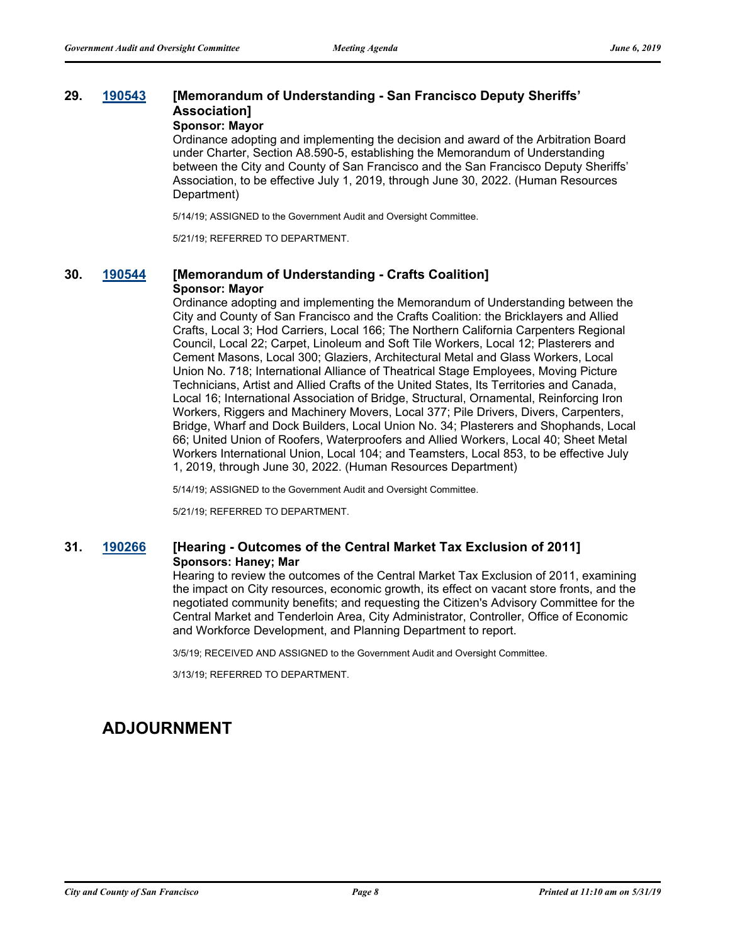# **29. [190543](http://sfgov.legistar.com/gateway.aspx?m=l&id=34665) [Memorandum of Understanding - San Francisco Deputy Sheriffs' Association]**

**Sponsor: Mayor**

Ordinance adopting and implementing the decision and award of the Arbitration Board under Charter, Section A8.590-5, establishing the Memorandum of Understanding between the City and County of San Francisco and the San Francisco Deputy Sheriffs' Association, to be effective July 1, 2019, through June 30, 2022. (Human Resources Department)

5/14/19; ASSIGNED to the Government Audit and Oversight Committee.

5/21/19; REFERRED TO DEPARTMENT.

#### **30. [190544](http://sfgov.legistar.com/gateway.aspx?m=l&id=34666) [Memorandum of Understanding - Crafts Coalition] Sponsor: Mayor**

Ordinance adopting and implementing the Memorandum of Understanding between the City and County of San Francisco and the Crafts Coalition: the Bricklayers and Allied Crafts, Local 3; Hod Carriers, Local 166; The Northern California Carpenters Regional Council, Local 22; Carpet, Linoleum and Soft Tile Workers, Local 12; Plasterers and Cement Masons, Local 300; Glaziers, Architectural Metal and Glass Workers, Local Union No. 718; International Alliance of Theatrical Stage Employees, Moving Picture Technicians, Artist and Allied Crafts of the United States, Its Territories and Canada, Local 16; International Association of Bridge, Structural, Ornamental, Reinforcing Iron Workers, Riggers and Machinery Movers, Local 377; Pile Drivers, Divers, Carpenters, Bridge, Wharf and Dock Builders, Local Union No. 34; Plasterers and Shophands, Local 66; United Union of Roofers, Waterproofers and Allied Workers, Local 40; Sheet Metal Workers International Union, Local 104; and Teamsters, Local 853, to be effective July 1, 2019, through June 30, 2022. (Human Resources Department)

5/14/19; ASSIGNED to the Government Audit and Oversight Committee.

5/21/19; REFERRED TO DEPARTMENT.

#### **31. [190266](http://sfgov.legistar.com/gateway.aspx?m=l&id=34387) [Hearing - Outcomes of the Central Market Tax Exclusion of 2011] Sponsors: Haney; Mar**

Hearing to review the outcomes of the Central Market Tax Exclusion of 2011, examining the impact on City resources, economic growth, its effect on vacant store fronts, and the negotiated community benefits; and requesting the Citizen's Advisory Committee for the Central Market and Tenderloin Area, City Administrator, Controller, Office of Economic and Workforce Development, and Planning Department to report.

3/5/19; RECEIVED AND ASSIGNED to the Government Audit and Oversight Committee.

3/13/19; REFERRED TO DEPARTMENT.

# **ADJOURNMENT**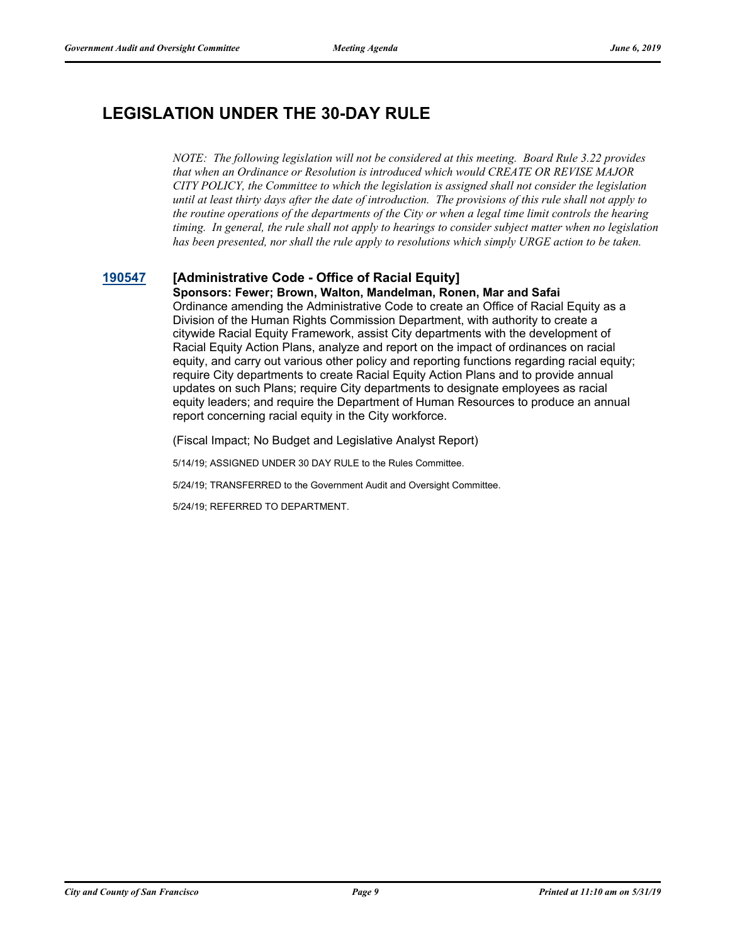# **LEGISLATION UNDER THE 30-DAY RULE**

*NOTE: The following legislation will not be considered at this meeting. Board Rule 3.22 provides that when an Ordinance or Resolution is introduced which would CREATE OR REVISE MAJOR CITY POLICY, the Committee to which the legislation is assigned shall not consider the legislation until at least thirty days after the date of introduction. The provisions of this rule shall not apply to the routine operations of the departments of the City or when a legal time limit controls the hearing timing. In general, the rule shall not apply to hearings to consider subject matter when no legislation has been presented, nor shall the rule apply to resolutions which simply URGE action to be taken.*

### **[190547](http://sfgov.legistar.com/gateway.aspx?m=l&id=34669) [Administrative Code - Office of Racial Equity]**

**Sponsors: Fewer; Brown, Walton, Mandelman, Ronen, Mar and Safai** Ordinance amending the Administrative Code to create an Office of Racial Equity as a Division of the Human Rights Commission Department, with authority to create a citywide Racial Equity Framework, assist City departments with the development of Racial Equity Action Plans, analyze and report on the impact of ordinances on racial equity, and carry out various other policy and reporting functions regarding racial equity; require City departments to create Racial Equity Action Plans and to provide annual updates on such Plans; require City departments to designate employees as racial equity leaders; and require the Department of Human Resources to produce an annual report concerning racial equity in the City workforce.

(Fiscal Impact; No Budget and Legislative Analyst Report)

5/14/19; ASSIGNED UNDER 30 DAY RULE to the Rules Committee.

5/24/19; TRANSFERRED to the Government Audit and Oversight Committee.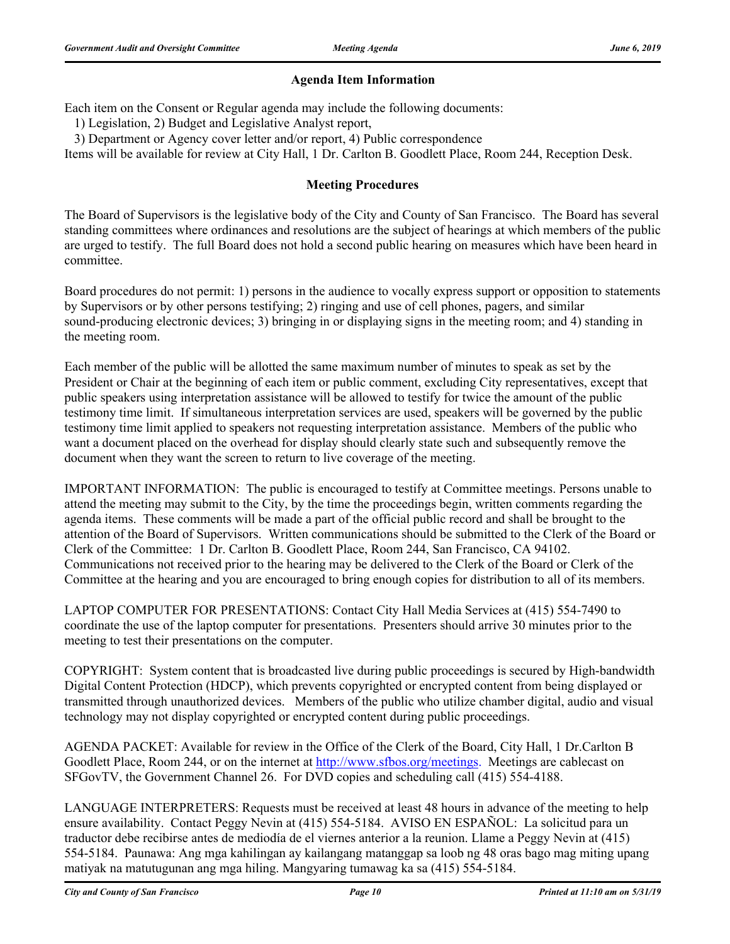### **Agenda Item Information**

Each item on the Consent or Regular agenda may include the following documents:

1) Legislation, 2) Budget and Legislative Analyst report,

3) Department or Agency cover letter and/or report, 4) Public correspondence

Items will be available for review at City Hall, 1 Dr. Carlton B. Goodlett Place, Room 244, Reception Desk.

#### **Meeting Procedures**

The Board of Supervisors is the legislative body of the City and County of San Francisco. The Board has several standing committees where ordinances and resolutions are the subject of hearings at which members of the public are urged to testify. The full Board does not hold a second public hearing on measures which have been heard in committee.

Board procedures do not permit: 1) persons in the audience to vocally express support or opposition to statements by Supervisors or by other persons testifying; 2) ringing and use of cell phones, pagers, and similar sound-producing electronic devices; 3) bringing in or displaying signs in the meeting room; and 4) standing in the meeting room.

Each member of the public will be allotted the same maximum number of minutes to speak as set by the President or Chair at the beginning of each item or public comment, excluding City representatives, except that public speakers using interpretation assistance will be allowed to testify for twice the amount of the public testimony time limit. If simultaneous interpretation services are used, speakers will be governed by the public testimony time limit applied to speakers not requesting interpretation assistance. Members of the public who want a document placed on the overhead for display should clearly state such and subsequently remove the document when they want the screen to return to live coverage of the meeting.

IMPORTANT INFORMATION: The public is encouraged to testify at Committee meetings. Persons unable to attend the meeting may submit to the City, by the time the proceedings begin, written comments regarding the agenda items. These comments will be made a part of the official public record and shall be brought to the attention of the Board of Supervisors. Written communications should be submitted to the Clerk of the Board or Clerk of the Committee: 1 Dr. Carlton B. Goodlett Place, Room 244, San Francisco, CA 94102. Communications not received prior to the hearing may be delivered to the Clerk of the Board or Clerk of the Committee at the hearing and you are encouraged to bring enough copies for distribution to all of its members.

LAPTOP COMPUTER FOR PRESENTATIONS: Contact City Hall Media Services at (415) 554-7490 to coordinate the use of the laptop computer for presentations. Presenters should arrive 30 minutes prior to the meeting to test their presentations on the computer.

COPYRIGHT: System content that is broadcasted live during public proceedings is secured by High-bandwidth Digital Content Protection (HDCP), which prevents copyrighted or encrypted content from being displayed or transmitted through unauthorized devices. Members of the public who utilize chamber digital, audio and visual technology may not display copyrighted or encrypted content during public proceedings.

AGENDA PACKET: Available for review in the Office of the Clerk of the Board, City Hall, 1 Dr.Carlton B Goodlett Place, Room 244, or on the internet at http://www.sfbos.org/meetings. Meetings are cablecast on SFGovTV, the Government Channel 26. For DVD copies and scheduling call (415) 554-4188.

LANGUAGE INTERPRETERS: Requests must be received at least 48 hours in advance of the meeting to help ensure availability. Contact Peggy Nevin at (415) 554-5184. AVISO EN ESPAÑOL: La solicitud para un traductor debe recibirse antes de mediodía de el viernes anterior a la reunion. Llame a Peggy Nevin at (415) 554-5184. Paunawa: Ang mga kahilingan ay kailangang matanggap sa loob ng 48 oras bago mag miting upang matiyak na matutugunan ang mga hiling. Mangyaring tumawag ka sa (415) 554-5184.